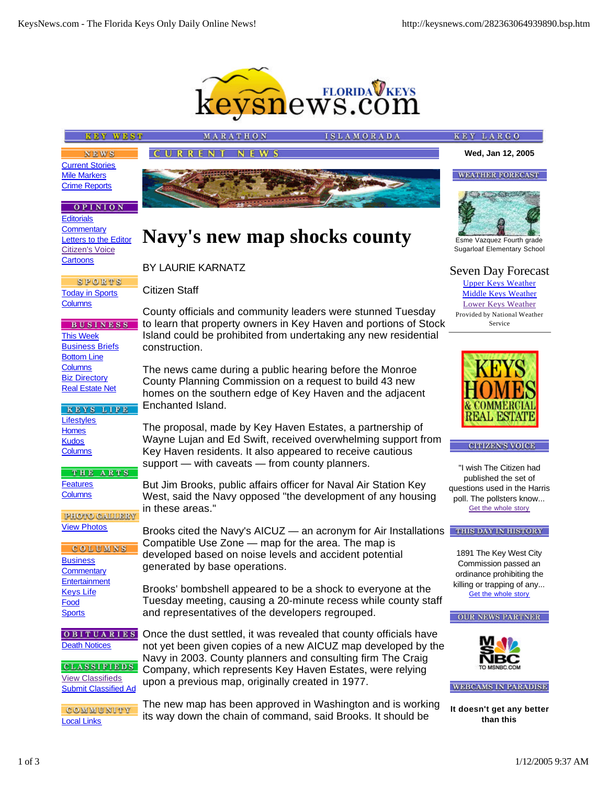

**Navy's new map shocks county**

County officials and community leaders were stunned Tuesday to learn that property owners in Key Haven and portions of Stock Island could be prohibited from undertaking any new residential

The news came during a public hearing before the Monroe County Planning Commission on a request to build 43 new homes on the southern edge of Key Haven and the adjacent

The proposal, made by Key Haven Estates, a partnership of Wayne Lujan and Ed Swift, received overwhelming support from Key Haven residents. It also appeared to receive cautious

But Jim Brooks, public affairs officer for Naval Air Station Key West, said the Navy opposed "the development of any housing

Compatible Use Zone — map for the area. The map is developed based on noise levels and accident potential

and representatives of the developers regrouped.

upon a previous map, originally created in 1977.

Brooks cited the Navy's AICUZ — an acronym for Air Installations

Brooks' bombshell appeared to be a shock to everyone at the Tuesday meeting, causing a 20-minute recess while county staff

Once the dust settled, it was revealed that county officials have not yet been given copies of a new AICUZ map developed by the Navy in 2003. County planners and consulting firm The Craig Company, which represents Key Haven Estates, were relying

support — with caveats — from county planners.

## **KEY WEST**

CURRENT **NEWS** 

MARATHO

BY LAURIE KARNATZ

Citizen Staff

construction.

Enchanted Island.

in these areas."

generated by base operations.

**SLAMORADA** 

**KEY LARGO** 

**Wed, Jan 12, 2005**

**WEATHER FORECAST** 

**NEWS** Current Stories Mile Markers Crime Reports

### **OPINION**

**Editorials Commentary** Letters to the Editor Citizen's Voice **Cartoons** 

**SPORTS** Today in Sports **Columns** 

**BUSINESS** This Week **Business Briefs** Bottom Line **Columns** Biz Directory Real Estate Net

KEYS LIFE **Lifestyles Homes Kudos Columns** 

THE ARTS **Features Columns** 

**PHOTO GALLERY** View Photos

COLUMNS **Business Commentary Entertainment** Keys Life Food **Sports** 

**OBITUARIES** Death Notices

**CLASSIFIEDS** View Classifieds Submit Classified Ad

COMMUNITY Local Links

The new map has been approved in Washington and is working its way down the chain of command, said Brooks. It should be



Sugarloaf Elementary School

# Seven Day Forecast

Upper Keys Weather Middle Keys Weather Lower Keys Weather Provided by National Weather Service



#### **CITIZEN'S VOICE**

"I wish The Citizen had published the set of questions used in the Harris poll. The pollsters know... Get the whole story

THIS DAY IN HISTORY

1891 The Key West City Commission passed an ordinance prohibiting the killing or trapping of any... Get the whole story





**WEBCAMS IN PARADISE** 

**It doesn't get any better than this**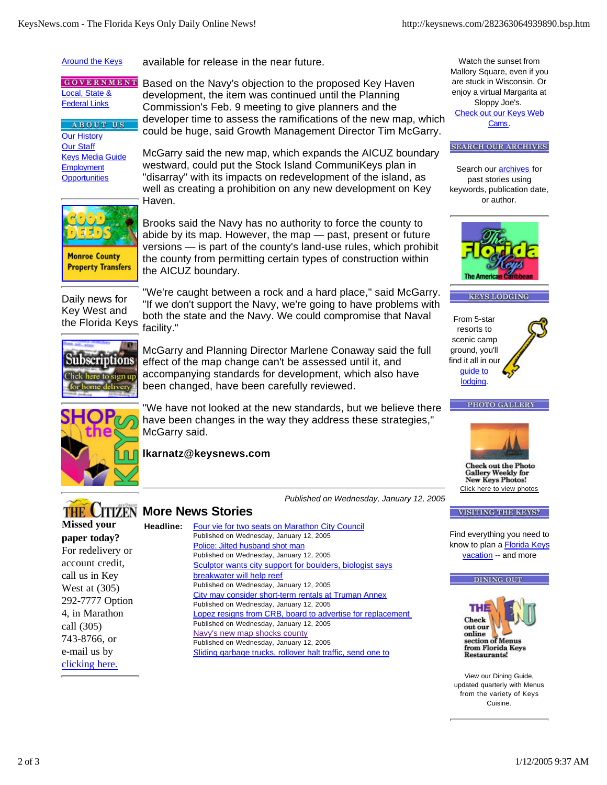**Around the Keys** 

available for release in the near future.

**GOVERNMENT** Local, State & **Federal Links** 

**ABOUT US** Our History Our Staff Keys Media Guide **Employment Opportunities** 

Based on the Navy's objection to the proposed Key Haven development, the item was continued until the Planning Commission's Feb. 9 meeting to give planners and the developer time to assess the ramifications of the new map, which could be huge, said Growth Management Director Tim McGarry.

McGarry said the new map, which expands the AICUZ boundary westward, could put the Stock Island CommuniKeys plan in "disarray" with its impacts on redevelopment of the island, as well as creating a prohibition on any new development on Key Haven.



Brooks said the Navy has no authority to force the county to abide by its map. However, the map — past, present or future versions — is part of the county's land-use rules, which prohibit the county from permitting certain types of construction within the AICUZ boundary.

Daily news for Key West and the Florida Keys

"We're caught between a rock and a hard place," said McGarry. "If we don't support the Navy, we're going to have problems with both the state and the Navy. We could compromise that Naval facility."



McGarry and Planning Director Marlene Conaway said the full effect of the map change can't be assessed until it, and accompanying standards for development, which also have been changed, have been carefully reviewed.

"We have not looked at the new standards, but we believe there have been changes in the way they address these strategies," McGarry said.

**lkarnatz@keysnews.com**

Watch the sunset from Mallory Square, even if you are stuck in Wisconsin. Or enjoy a virtual Margarita at Sloppy Joe's. Check out our Keys Web Cams.

**SEARCH OUR ARCHIVES** 

Search our **archives** for past stories using keywords, publication date, or author.



#### **KEYS LODGING**







**Check out the Photo Gallery Weekly for New Keys Photos!** Click here to view photos

#### **VISITING THE KEYS?**

Find everything you need to know to plan a **Florida Keys** vacation -- and more

#### **DINING OUT**



View our Dining Guide, updated quarterly with Menus from the variety of Keys Cuisine.

# **THE CITIZEN More News Stories**

**Headline:**

**Missed your paper today?** For redelivery or account credit, call us in Key West at (305) 292-7777 Option 4, in Marathon call (305) 743-8766, or e-mail us by clicking here.

Four vie for two seats on Marathon City Council Published on Wednesday, January 12, 2005 Police: Jilted husband shot man Published on Wednesday, January 12, 2005 Sculptor wants city support for boulders, biologist says breakwater will help reef Published on Wednesday, January 12, 2005 City may consider short-term rentals at Truman Annex Published on Wednesday, January 12, 2005 Lopez resigns from CRB, board to advertise for replacement Published on Wednesday, January 12, 2005 Navy's new map shocks county Published on Wednesday, January 12, 2005 Sliding garbage trucks, rollover halt traffic, send one to

*Published on Wednesday, January 12, 2005*